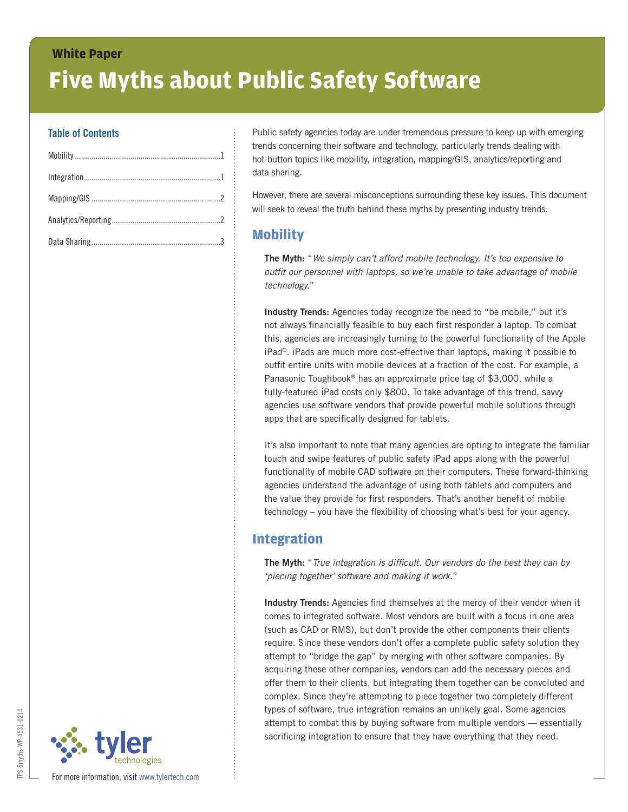# **White Paper Five Myths about Public Safety Software**

#### **Table of Contents**

Public safety agencies today are under tremendous pressure to keep up with emerging trends concerning their software and technology, particularly trends dealing with hot-button topics like mobility, integration, mapping/GIS, analytics/reporting and data sharing.

However, there are several misconceptions surrounding these key issues. This document will seek to reveal the truth behind these myths by presenting industry trends.

### **Mobility**

**The Myth:** "*We simply can't afford mobile technology. It's too expensive to outfit our personnel with laptops, so we're unable to take advantage of mobile technology.*"

**Industry Trends:** Agencies today recognize the need to "be mobile," but it's not always financially feasible to buy each first responder a laptop. To combat this, agencies are increasingly turning to the powerful functionality of the Apple iPad®. iPads are much more cost-effective than laptops, making it possible to outfit entire units with mobile devices at a fraction of the cost. For example, a Panasonic Toughbook® has an approximate price tag of \$3,000, while a fully-featured iPad costs only \$800. To take advantage of this trend, savvy agencies use software vendors that provide powerful mobile solutions through apps that are specifically designed for tablets.

It's also important to note that many agencies are opting to integrate the familiar touch and swipe features of public safety iPad apps along with the powerful functionality of mobile CAD software on their computers. These forward-thinking agencies understand the advantage of using both tablets and computers and the value they provide for first responders. That's another benefit of mobile technology – you have the flexibility of choosing what's best for your agency.

#### **Integration**

**The Myth:** "*True integration is difficult. Our vendors do the best they can by 'piecing together' software and making it work.*"

**Industry Trends:** Agencies find themselves at the mercy of their vendor when it comes to integrated software. Most vendors are built with a focus in one area (such as CAD or RMS), but don't provide the other components their clients require. Since these vendors don't offer a complete public safety solution they attempt to "bridge the gap" by merging with other software companies. By acquiring these other companies, vendors can add the necessary pieces and offer them to their clients, but integrating them together can be convoluted and complex. Since they're attempting to piece together two completely different types of software, true integration remains an unlikely goal. Some agencies attempt to combat this by buying software from multiple vendors — essentially sacrificing integration to ensure that they have everything that they need.

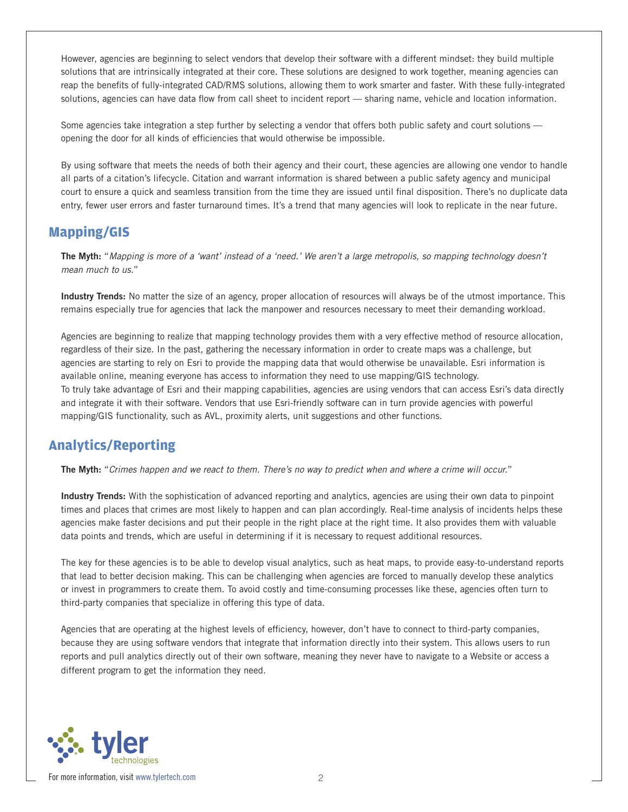However, agencies are beginning to select vendors that develop their software with a different mindset: they build multiple solutions that are intrinsically integrated at their core. These solutions are designed to work together, meaning agencies can reap the benefits of fully-integrated CAD/RMS solutions, allowing them to work smarter and faster. With these fully-integrated solutions, agencies can have data flow from call sheet to incident report — sharing name, vehicle and location information.

Some agencies take integration a step further by selecting a vendor that offers both public safety and court solutions opening the door for all kinds of efficiencies that would otherwise be impossible.

By using software that meets the needs of both their agency and their court, these agencies are allowing one vendor to handle all parts of a citation's lifecycle. Citation and warrant information is shared between a public safety agency and municipal court to ensure a quick and seamless transition from the time they are issued until final disposition. There's no duplicate data entry, fewer user errors and faster turnaround times. It's a trend that many agencies will look to replicate in the near future.

#### **Mapping/GIS**

**The Myth:** "*Mapping is more of a 'want' instead of a 'need.' We aren't a large metropolis, so mapping technology doesn't mean much to us.*"

**Industry Trends:** No matter the size of an agency, proper allocation of resources will always be of the utmost importance. This remains especially true for agencies that lack the manpower and resources necessary to meet their demanding workload.

Agencies are beginning to realize that mapping technology provides them with a very effective method of resource allocation, regardless of their size. In the past, gathering the necessary information in order to create maps was a challenge, but agencies are starting to rely on Esri to provide the mapping data that would otherwise be unavailable. Esri information is available online, meaning everyone has access to information they need to use mapping/GIS technology. To truly take advantage of Esri and their mapping capabilities, agencies are using vendors that can access Esri's data directly and integrate it with their software. Vendors that use Esri-friendly software can in turn provide agencies with powerful mapping/GIS functionality, such as AVL, proximity alerts, unit suggestions and other functions.

#### **Analytics/Reporting**

**The Myth:** "*Crimes happen and we react to them. There's no way to predict when and where a crime will occur.*"

**Industry Trends:** With the sophistication of advanced reporting and analytics, agencies are using their own data to pinpoint times and places that crimes are most likely to happen and can plan accordingly. Real-time analysis of incidents helps these agencies make faster decisions and put their people in the right place at the right time. It also provides them with valuable data points and trends, which are useful in determining if it is necessary to request additional resources.

The key for these agencies is to be able to develop visual analytics, such as heat maps, to provide easy-to-understand reports that lead to better decision making. This can be challenging when agencies are forced to manually develop these analytics or invest in programmers to create them. To avoid costly and time-consuming processes like these, agencies often turn to third-party companies that specialize in offering this type of data.

Agencies that are operating at the highest levels of efficiency, however, don't have to connect to third-party companies, because they are using software vendors that integrate that information directly into their system. This allows users to run reports and pull analytics directly out of their own software, meaning they never have to navigate to a Website or access a different program to get the information they need.